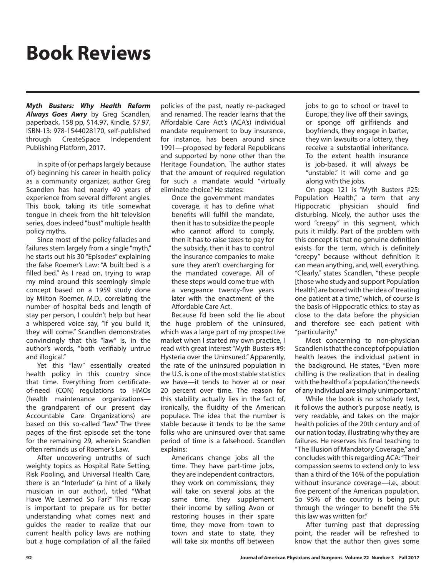## **Book Reviews**

*Myth Busters: Why Health Reform Always Goes Awry* by Greg Scandlen, paperback, 158 pp, \$14.97, Kindle, \$7.97, ISBN-13: 978-1544028170, self-published through CreateSpace Independent Publishing Platform, 2017.

In spite of (or perhaps largely because of) beginning his career in health policy as a community organizer, author Greg Scandlen has had nearly 40 years of experience from several different angles. This book, taking its title somewhat tongue in cheek from the hit television series, does indeed "bust" multiple health policy myths.

Since most of the policy fallacies and failures stem largely from a single "myth," he starts out his 30 "Episodes" explaining the false Roemer's Law: "A built bed is a filled bed." As I read on, trying to wrap my mind around this seemingly simple concept based on a 1959 study done by Milton Roemer, M.D., correlating the number of hospital beds and length of stay per person, I couldn't help but hear a whispered voice say, "If you build it, they will come." Scandlen demonstrates convincingly that this "law" is, in the author's words, "both verifiably untrue and illogical."

Yet this "law" essentially created health policy in this country since that time. Everything from certificateof-need (CON) regulations to HMOs (health maintenance organizations the grandparent of our present day Accountable Care Organizations) are based on this so-called "law." The three pages of the first episode set the tone for the remaining 29, wherein Scandlen often reminds us of Roemer's Law.

After uncovering untruths of such weighty topics as Hospital Rate Setting, Risk Pooling, and Universal Health Care, there is an "Interlude" (a hint of a likely musician in our author), titled "What Have We Learned So Far?" This re-cap is important to prepare us for better understanding what comes next and guides the reader to realize that our current health policy laws are nothing but a huge compilation of all the failed policies of the past, neatly re-packaged and renamed. The reader learns that the Affordable Care Act's (ACA's) individual mandate requirement to buy insurance, for instance, has been around since 1991—proposed by federal Republicans and supported by none other than the Heritage Foundation. The author states that the amount of required regulation for such a mandate would "virtually eliminate choice." He states:

Once the government mandates coverage, it has to define what benefits will fulfill the mandate, then it has to subsidize the people who cannot afford to comply, then it has to raise taxes to pay for the subsidy, then it has to control the insurance companies to make sure they aren't overcharging for the mandated coverage. All of these steps would come true with a vengeance twenty-five years later with the enactment of the Affordable Care Act.

Because I'd been sold the lie about the huge problem of the uninsured, which was a large part of my prospective market when I started my own practice, I read with great interest "Myth Busters #9: Hysteria over the Uninsured." Apparently, the rate of the uninsured population in the U.S. is one of the most stable statistics we have—it tends to hover at or near 20 percent over time. The reason for this stability actually lies in the fact of, ironically, the fluidity of the American populace. The idea that the number is stable because it tends to be the same folks who are uninsured over that same period of time is a falsehood. Scandlen explains:

Americans change jobs all the time. They have part-time jobs, they are independent contractors, they work on commissions, they will take on several jobs at the same time, they supplement their income by selling Avon or restoring houses in their spare time, they move from town to town and state to state, they will take six months off between jobs to go to school or travel to Europe, they live off their savings, or sponge off girlfriends and boyfriends, they engage in barter, they win lawsuits or a lottery, they receive a substantial inheritance. To the extent health insurance is job-based, it will always be "unstable." It will come and go along with the jobs.

On page 121 is "Myth Busters #25: Population Health," a term that any Hippocratic physician should find disturbing. Nicely, the author uses the word "creepy" in this segment, which puts it mildly. Part of the problem with this concept is that no genuine definition exists for the term, which is definitely "creepy" because without definition it can mean anything, and, well, everything. "Clearly," states Scandlen, "these people [those who study and support Population Health] are bored with the idea of treating one patient at a time," which, of course is the basis of Hippocratic ethics: to stay as close to the data before the physician and therefore see each patient with "particularity."

Most concerning to non-physician Scandlen is that the concept of population health leaves the individual patient in the background. He states, "Even more chilling is the realization that in dealing with the health of a 'population,' the needs of any individual are simply unimportant."

While the book is no scholarly text, it follows the author's purpose neatly, is very readable, and takes on the major health policies of the 20th century and of our nation today, illustrating why they are failures. He reserves his final teaching to "The Illusion of Mandatory Coverage," and concludes with this regarding ACA: "Their compassion seems to extend only to less than a third of the 16% of the population without insurance coverage—i.e., about five percent of the American population. So 95% of the country is being put through the wringer to benefit the 5% this law was written for."

After turning past that depressing point, the reader will be refreshed to know that the author then gives some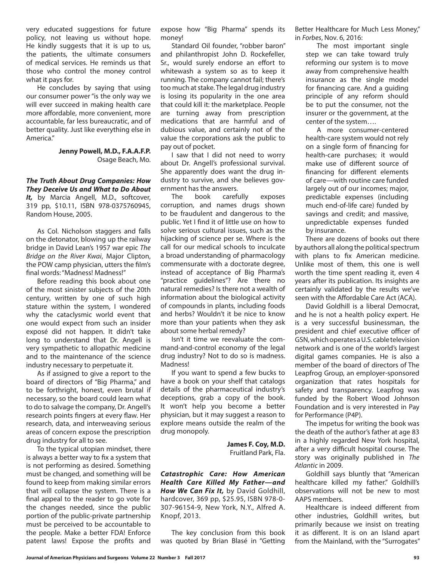very educated suggestions for future policy, not leaving us without hope. He kindly suggests that it is up to us, the patients, the ultimate consumers of medical services. He reminds us that those who control the money control what it pays for.

He concludes by saying that using our consumer power "is the only way we will ever succeed in making health care more affordable, more convenient, more accountable, far less bureaucratic, and of better quality. Just like everything else in America"

## **Jenny Powell, M.D., F.A.A.F.P.** Osage Beach, Mo.

*The Truth About Drug Companies: How They Deceive Us and What to Do About*  It, by Marcia Angell, M.D., softcover, 319 pp, \$10.11, ISBN 978-0375760945, Random House, 2005.

As Col. Nicholson staggers and falls on the detonator, blowing up the railway bridge in David Lean's 1957 war epic *The Bridge on the River Kwai*, Major Clipton, the POW camp physician, utters the film's final words: "Madness! Madness!"

Before reading this book about one of the most sinister subjects of the 20th century, written by one of such high stature within the system, I wondered why the cataclysmic world event that one would expect from such an insider exposé did not happen. It didn't take long to understand that Dr. Angell is very sympathetic to allopathic medicine and to the maintenance of the science industry necessary to perpetuate it.

As if assigned to give a report to the board of directors of "Big Pharma," and to be forthright, honest, even brutal if necessary, so the board could learn what to do to salvage the company, Dr. Angell's research points fingers at every flaw. Her research, data, and interweaving serious areas of concern expose the prescription drug industry for all to see.

To the typical utopian mindset, there is always a better way to fix a system that is not performing as desired. Something must be changed, and something will be found to keep from making similar errors that will collapse the system. There is a final appeal to the reader to go vote for the changes needed, since the public portion of the public-private partnership must be perceived to be accountable to the people. Make a better FDA! Enforce patent laws! Expose the profits and expose how "Big Pharma" spends its money!

Standard Oil founder, "robber baron" and philanthropist John D. Rockefeller, Sr., would surely endorse an effort to whitewash a system so as to keep it running. The company cannot fail; there's too much at stake. The legal drug industry is losing its popularity in the one area that could kill it: the marketplace. People are turning away from prescription medications that are harmful and of dubious value, and certainly not of the value the corporations ask the public to pay out of pocket.

I saw that I did not need to worry about Dr. Angell's professional survival. She apparently does want the drug industry to survive, and she believes government has the answers.

The book carefully exposes corruption, and names drugs shown to be fraudulent and dangerous to the public. Yet I find it of little use on how to solve serious cultural issues, such as the hijacking of science per se. Where is the call for our medical schools to inculcate a broad understanding of pharmacology commensurate with a doctorate degree, instead of acceptance of Big Pharma's "practice guidelines"? Are there no natural remedies? Is there not a wealth of information about the biological activity of compounds in plants, including foods and herbs? Wouldn't it be nice to know more than your patients when they ask about some herbal remedy?

Isn't it time we reevaluate the command-and-control economy of the legal drug industry? Not to do so is madness. Madness!

If you want to spend a few bucks to have a book on your shelf that catalogs details of the pharmaceutical industry's deceptions, grab a copy of the book. It won't help you become a better physician, but it may suggest a reason to explore means outside the realm of the drug monopoly.

> **James F. Coy, M.D.** Fruitland Park, Fla.

*Catastrophic Care: How American Health Care Killed My Father—and How We Can Fix It,* by David Goldhill, hardcover, 369 pp, \$25.95, ISBN 978-0- 307-96154-9, New York, N.Y., Alfred A. Knopf, 2013.

The key conclusion from this book was quoted by Brian Blasé in "Getting

Better Healthcare for Much Less Money," in *Forbes*, Nov. 6, 2016:

The most important single step we can take toward truly reforming our system is to move away from comprehensive health insurance as the single model for financing care. And a guiding principle of any reform should be to put the consumer, not the insurer or the government, at the center of the system….

A more consumer-centered health-care system would not rely on a single form of financing for health-care purchases; it would make use of different source of financing for different elements of care—with routine care funded largely out of our incomes; major, predictable expenses (including much end-of-life care) funded by savings and credit; and massive, unpredictable expenses funded by insurance.

There are dozens of books out there by authors all along the political spectrum with plans to fix American medicine. Unlike most of them, this one is well worth the time spent reading it, even 4 years after its publication. Its insights are certainly validated by the results we've seen with the Affordable Care Act (ACA).

David Goldhill is a liberal Democrat, and he is not a health policy expert. He is a very successful businessman, the president and chief executive officer of GSN, which operates a U.S. cable television network and is one of the world's largest digital games companies. He is also a member of the board of directors of The Leapfrog Group, an employer-sponsored organization that rates hospitals for safety and transparency. Leapfrog was funded by the Robert Wood Johnson Foundation and is very interested in Pay for Performance (P4P).

The impetus for writing the book was the death of the author's father at age 83 in a highly regarded New York hospital, after a very difficult hospital course. The story was originally published in *The Atlantic* in 2009.

Goldhill says bluntly that "American healthcare killed my father." Goldhill's observations will not be new to most AAPS members.

Healthcare is indeed different from other industries, Goldhill writes, but primarily because we insist on treating it as different. It is on an Island apart from the Mainland, with the "Surrogates"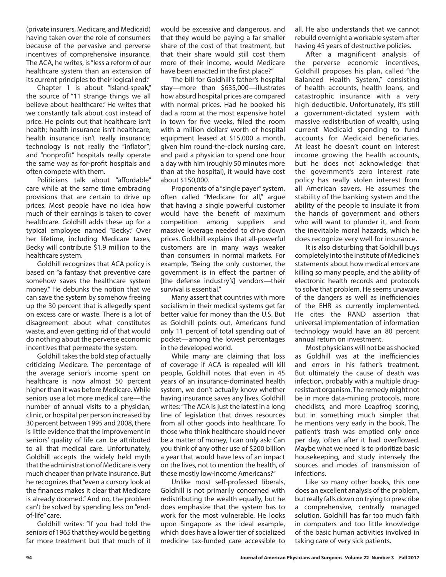(private insurers, Medicare, and Medicaid) having taken over the role of consumers because of the pervasive and perverse incentives of comprehensive insurance. The ACA, he writes, is "less a reform of our healthcare system than an extension of its current principles to their logical end."

Chapter 1 is about "Island-speak," the source of "11 strange things we all believe about healthcare." He writes that we constantly talk about cost instead of price. He points out that healthcare isn't health; health insurance isn't healthcare; health insurance isn't really insurance; technology is not really the "inflator"; and "nonprofit" hospitals really operate the same way as for-profit hospitals and often compete with them.

Politicians talk about "affordable" care while at the same time embracing provisions that are certain to drive up prices. Most people have no idea how much of their earnings is taken to cover healthcare. Goldhill adds these up for a typical employee named "Becky." Over her lifetime, including Medicare taxes, Becky will contribute \$1.9 million to the healthcare system.

Goldhill recognizes that ACA policy is based on "a fantasy that preventive care somehow saves the healthcare system money." He debunks the notion that we can save the system by somehow freeing up the 30 percent that is allegedly spent on excess care or waste. There is a lot of disagreement about what constitutes waste, and even getting rid of that would do nothing about the perverse economic incentives that permeate the system.

Goldhill takes the bold step of actually criticizing Medicare. The percentage of the average senior's income spent on healthcare is now almost 50 percent higher than it was before Medicare. While seniors use a lot more medical care—the number of annual visits to a physician, clinic, or hospital per person increased by 30 percent between 1995 and 2008, there is little evidence that the improvement in seniors' quality of life can be attributed to all that medical care. Unfortunately, Goldhill accepts the widely held myth that the administration of Medicare is very much cheaper than private insurance. But he recognizes that "even a cursory look at the finances makes it clear that Medicare is already doomed." And no, the problem can't be solved by spending less on "endof-life" care.

Goldhill writes: "If you had told the seniors of 1965 that they would be getting far more treatment but that much of it would be excessive and dangerous, and that they would be paying a far smaller share of the cost of that treatment, but that their share would still cost them more of their income, would Medicare have been enacted in the first place?"

The bill for Goldhill's father's hospital stay—more than \$635,000—illustrates how absurd hospital prices are compared with normal prices. Had he booked his dad a room at the most expensive hotel in town for five weeks, filled the room with a million dollars' worth of hospital equipment leased at \$15,000 a month, given him round-the-clock nursing care, and paid a physician to spend one hour a day with him (roughly 50 minutes more than at the hospital), it would have cost about \$150,000.

Proponents of a "single payer" system, often called "Medicare for all," argue that having a single powerful customer would have the benefit of maximum competition among suppliers and massive leverage needed to drive down prices. Goldhill explains that all-powerful customers are in many ways weaker than consumers in normal markets. For example, "Being the only customer, the government is in effect the partner of [the defense industry's] vendors-their survival is essential."

Many assert that countries with more socialism in their medical systems get far better value for money than the U.S. But as Goldhill points out, Americans fund only 11 percent of total spending out of pocket—among the lowest percentages in the developed world.

While many are claiming that loss of coverage if ACA is repealed will kill people, Goldhill notes that even in 45 years of an insurance-dominated health system, we don't actually know whether having insurance saves any lives. Goldhill writes: "The ACA is just the latest in a long line of legislation that drives resources from all other goods into healthcare. To those who think healthcare should never be a matter of money, I can only ask: Can you think of any other use of \$200 billion a year that would have less of an impact on the lives, not to mention the health, of these mostly low-income Americans?"

Unlike most self-professed liberals, Goldhill is not primarily concerned with redistributing the wealth equally, but he does emphasize that the system has to work for the most vulnerable. He looks upon Singapore as the ideal example, which does have a lower tier of socialized medicine tax-funded care accessible to

all. He also understands that we cannot rebuild overnight a workable system after having 45 years of destructive policies.

After a magnificent analysis of the perverse economic incentives, Goldhill proposes his plan, called "the Balanced Health System," consisting of health accounts, health loans, and catastrophic insurance with a very high deductible. Unfortunately, it's still a government-dictated system with massive redistribution of wealth, using current Medicaid spending to fund accounts for Medicaid beneficiaries. At least he doesn't count on interest income growing the health accounts, but he does not acknowledge that the government's zero interest rate policy has really stolen interest from all American savers. He assumes the stability of the banking system and the ability of the people to insulate it from the hands of government and others who will want to plunder it, and from the inevitable moral hazards, which he does recognize very well for insurance.

It is also disturbing that Goldhill buys completely into the Institute of Medicine's statements about how medical errors are killing so many people, and the ability of electronic health records and protocols to solve that problem. He seems unaware of the dangers as well as inefficiencies of the EHR as currently implemented. He cites the RAND assertion that universal implementation of information technology would have an 80 percent annual return on investment.

Most physicians will not be as shocked as Goldhill was at the inefficiencies and errors in his father's treatment. But ultimately the cause of death was infection, probably with a multiple drugresistant organism. The remedy might not be in more data-mining protocols, more checklists, and more Leapfrog scoring, but in something much simpler that he mentions very early in the book. The patient's trash was emptied only once per day, often after it had overflowed. Maybe what we need is to prioritize basic housekeeping, and study intensely the sources and modes of transmission of infections.

Like so many other books, this one does an excellent analysis of the problem, but really falls down on trying to prescribe a comprehensive, centrally managed solution. Goldhill has far too much faith in computers and too little knowledge of the basic human activities involved in taking care of very sick patients.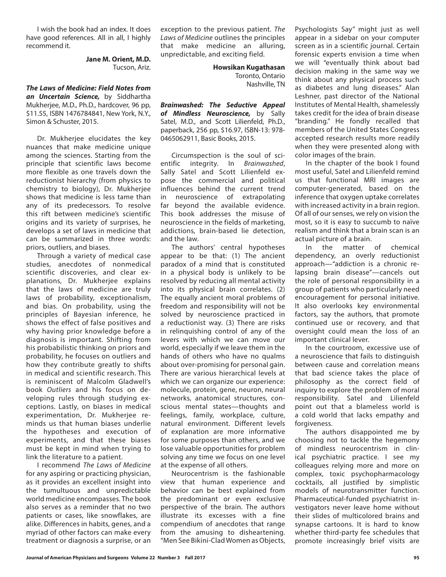I wish the book had an index. It does have good references. All in all, I highly recommend it.

> **Jane M. Orient, M.D.** Tucson, Ariz.

*The Laws of Medicine: Field Notes from an Uncertain Science,* by Siddhartha Mukherjee, M.D., Ph.D., hardcover, 96 pp, \$11.55, ISBN 1476784841, New York, N.Y., Simon & Schuster, 2015.

Dr. Mukherjee elucidates the key nuances that make medicine unique among the sciences. Starting from the principle that scientific laws become more flexible as one travels down the reductionist hierarchy (from physics to chemistry to biology), Dr. Mukherjee shows that medicine is less tame than any of its predecessors. To resolve this rift between medicine's scientific origins and its variety of surprises, he develops a set of laws in medicine that can be summarized in three words: priors, outliers, and biases.

Through a variety of medical case studies, anecdotes of nonmedical scientific discoveries, and clear explanations, Dr. Mukherjee explains that the laws of medicine are truly laws of probability, exceptionalism, and bias. On probability, using the principles of Bayesian inference, he shows the effect of false positives and why having prior knowledge before a diagnosis is important. Shifting from his probabilistic thinking on priors and probability, he focuses on outliers and how they contribute greatly to shifts in medical and scientific research. This is reminiscent of Malcolm Gladwell's book *Outliers* and his focus on developing rules through studying exceptions. Lastly, on biases in medical experimentation, Dr. Mukherjee reminds us that human biases underlie the hypotheses and execution of experiments, and that these biases must be kept in mind when trying to link the literature to a patient.

I recommend *The Laws of Medicine* for any aspiring or practicing physician, as it provides an excellent insight into the tumultuous and unpredictable world medicine encompasses. The book also serves as a reminder that no two patients or cases, like snowflakes, are alike. Differences in habits, genes, and a myriad of other factors can make every treatment or diagnosis a surprise, or an

exception to the previous patient. *The Laws of Medicine* outlines the principles that make medicine an alluring, unpredictable, and exciting field.

> **Howsikan Kugathasan** Toronto, Ontario Nashville, TN

*Brainwashed: The Seductive Appeal of Mindless Neuroscience,* by Sally Satel, M.D., and Scott Lilienfeld, Ph.D., paperback, 256 pp, \$16.97, ISBN-13: 978- 0465062911, Basic Books, 2015.

Circumspection is the soul of scientific integrity. In *Brainwashed*, Sally Satel and Scott Lilienfeld expose the commercial and political influences behind the current trend in neuroscience of extrapolating far beyond the available evidence. This book addresses the misuse of neuroscience in the fields of marketing, addictions, brain-based lie detection, and the law.

The authors' central hypotheses appear to be that: (1) The ancient paradox of a mind that is constituted in a physical body is unlikely to be resolved by reducing all mental activity into its physical brain correlates. (2) The equally ancient moral problems of freedom and responsibility will not be solved by neuroscience practiced in a reductionist way. (3) There are risks in relinquishing control of any of the levers with which we can move our world, especially if we leave them in the hands of others who have no qualms about over-promising for personal gain. There are various hierarchical levels at which we can organize our experience: molecule, protein, gene, neuron, neural networks, anatomical structures, conscious mental states—thoughts and feelings, family, workplace, culture, natural environment. Different levels of explanation are more informative for some purposes than others, and we lose valuable opportunities for problem solving any time we focus on one level at the expense of all others.

Neurocentrism is the fashionable view that human experience and behavior can be best explained from the predominant or even exclusive perspective of the brain. The authors illustrate its excesses with a fine compendium of anecdotes that range from the amusing to disheartening. "Men See Bikini-Clad Women as Objects,

Psychologists Say" might just as well appear in a sidebar on your computer screen as in a scientific journal. Certain forensic experts envision a time when we will "eventually think about bad decision making in the same way we think about any physical process such as diabetes and lung diseases." Alan Leshner, past director of the National Institutes of Mental Health, shamelessly takes credit for the idea of brain disease "branding." He fondly recalled that members of the United States Congress accepted research results more readily when they were presented along with color images of the brain.

In the chapter of the book I found most useful, Satel and Lilienfeld remind us that functional MRI images are computer-generated, based on the inference that oxygen uptake correlates with increased activity in a brain region. Of all of our senses, we rely on vision the most, so it is easy to succumb to naïve realism and think that a brain scan is an actual picture of a brain.<br>In the matter

In the matter of chemical dependency, an overly reductionist approach—"addiction is a chronic relapsing brain disease"—cancels out the role of personal responsibility in a group of patients who particularly need encouragement for personal initiative. It also overlooks key environmental factors, say the authors, that promote continued use or recovery, and that oversight could mean the loss of an important clinical lever.

In the courtroom, excessive use of a neuroscience that fails to distinguish between cause and correlation means that bad science takes the place of philosophy as the correct field of inquiry to explore the problem of moral responsibility. Satel and Lilienfeld point out that a blameless world is a cold world that lacks empathy and forgiveness.

The authors disappointed me by choosing not to tackle the hegemony of mindless neurocentrism in clinical psychiatric practice. I see my colleagues relying more and more on complex, toxic psychopharmacology cocktails, all justified by simplistic models of neurotransmitter function. Pharmaceutical-funded psychiatrist investigators never leave home without their slides of multicolored brains and synapse cartoons. It is hard to know whether third-party fee schedules that promote increasingly brief visits are